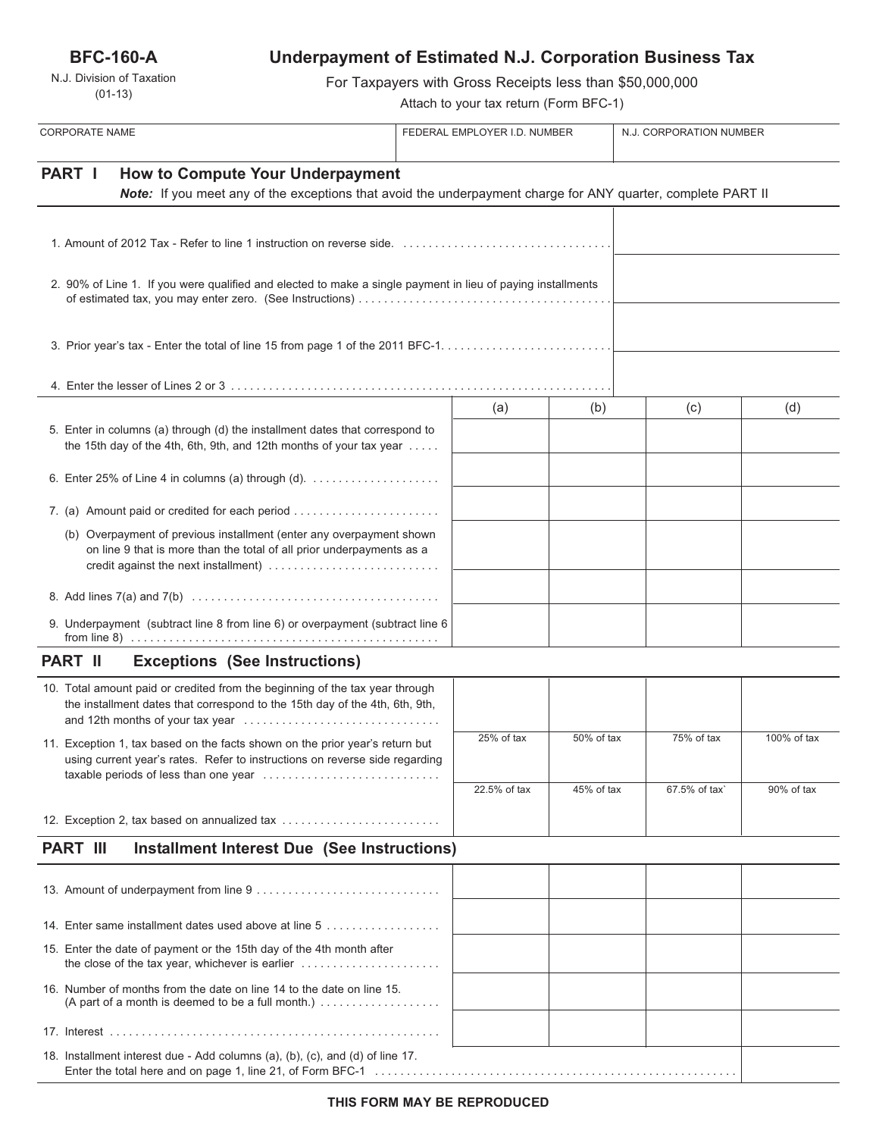**BFC-160-A**

N.J. Division of Taxation (01-13)

# **Underpayment of Estimated N.J. Corporation Business Tax**

For Taxpayers with Gross Receipts less than \$50,000,000

Attach to your tax return (Form BFC-1)

| <b>CORPORATE NAME</b>                                                                                                                                                                 |                                                                                                              | FEDERAL EMPLOYER I.D. NUMBER |            | N.J. CORPORATION NUMBER |             |
|---------------------------------------------------------------------------------------------------------------------------------------------------------------------------------------|--------------------------------------------------------------------------------------------------------------|------------------------------|------------|-------------------------|-------------|
| PART I<br><b>How to Compute Your Underpayment</b>                                                                                                                                     | Note: If you meet any of the exceptions that avoid the underpayment charge for ANY quarter, complete PART II |                              |            |                         |             |
|                                                                                                                                                                                       |                                                                                                              |                              |            |                         |             |
|                                                                                                                                                                                       |                                                                                                              |                              |            |                         |             |
| 2. 90% of Line 1. If you were qualified and elected to make a single payment in lieu of paying installments                                                                           |                                                                                                              |                              |            |                         |             |
|                                                                                                                                                                                       |                                                                                                              |                              |            |                         |             |
|                                                                                                                                                                                       |                                                                                                              |                              |            |                         |             |
|                                                                                                                                                                                       |                                                                                                              | (a)                          | (b)        | (c)                     | (d)         |
| 5. Enter in columns (a) through (d) the installment dates that correspond to<br>the 15th day of the 4th, 6th, 9th, and 12th months of your tax year $\dots$ .                         |                                                                                                              |                              |            |                         |             |
| 6. Enter 25% of Line 4 in columns (a) through (d). $\ldots$                                                                                                                           |                                                                                                              |                              |            |                         |             |
| 7. (a) Amount paid or credited for each period                                                                                                                                        |                                                                                                              |                              |            |                         |             |
| (b) Overpayment of previous installment (enter any overpayment shown<br>on line 9 that is more than the total of all prior underpayments as a<br>credit against the next installment) |                                                                                                              |                              |            |                         |             |
|                                                                                                                                                                                       |                                                                                                              |                              |            |                         |             |
| 9. Underpayment (subtract line 8 from line 6) or overpayment (subtract line 6                                                                                                         |                                                                                                              |                              |            |                         |             |
| <b>PART II</b><br><b>Exceptions (See Instructions)</b>                                                                                                                                |                                                                                                              |                              |            |                         |             |
| 10. Total amount paid or credited from the beginning of the tax year through<br>the installment dates that correspond to the 15th day of the 4th, 6th, 9th,                           |                                                                                                              |                              |            |                         |             |
| 11. Exception 1, tax based on the facts shown on the prior year's return but<br>using current year's rates. Refer to instructions on reverse side regarding                           |                                                                                                              | 25% of tax                   | 50% of tax | 75% of tax              | 100% of tax |
| taxable periods of less than one year                                                                                                                                                 |                                                                                                              | 22.5% of tax                 | 45% of tax | 67.5% of tax`           | 90% of tax  |
| 12. Exception 2, tax based on annualized tax                                                                                                                                          |                                                                                                              |                              |            |                         |             |
| <b>PART III</b>                                                                                                                                                                       | <b>Installment Interest Due (See Instructions)</b>                                                           |                              |            |                         |             |
|                                                                                                                                                                                       |                                                                                                              |                              |            |                         |             |
| 14. Enter same installment dates used above at line 5                                                                                                                                 |                                                                                                              |                              |            |                         |             |
| 15. Enter the date of payment or the 15th day of the 4th month after                                                                                                                  |                                                                                                              |                              |            |                         |             |
| 16. Number of months from the date on line 14 to the date on line 15.                                                                                                                 |                                                                                                              |                              |            |                         |             |
|                                                                                                                                                                                       |                                                                                                              |                              |            |                         |             |
| 18. Installment interest due - Add columns (a), (b), (c), and (d) of line 17.                                                                                                         |                                                                                                              |                              |            |                         |             |

Enter the total here and on page 1, line 21, of Form BFC-1 . . . . . . . . . . . . . . . . . . . . . . . . . . . . . . . . . . . . . . . . . . . . . . . . . . . . . . . . .